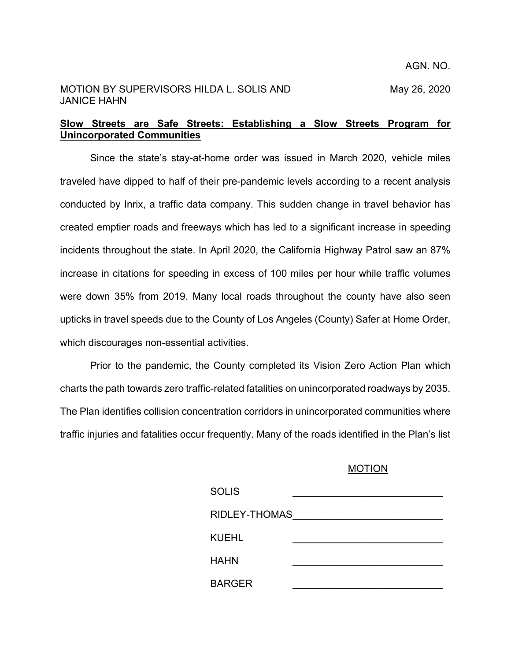## MOTION BY SUPERVISORS HILDA L. SOLIS AND May 26, 2020 JANICE HAHN

## **Slow Streets are Safe Streets: Establishing a Slow Streets Program for Unincorporated Communities**

Since the state's stay-at-home order was issued in March 2020, vehicle miles traveled have dipped to half of their pre-pandemic levels according to a recent analysis conducted by Inrix, a traffic data company. This sudden change in travel behavior has created emptier roads and freeways which has led to a significant increase in speeding incidents throughout the state. In April 2020, the California Highway Patrol saw an 87% increase in citations for speeding in excess of 100 miles per hour while traffic volumes were down 35% from 2019. Many local roads throughout the county have also seen upticks in travel speeds due to the County of Los Angeles (County) Safer at Home Order, which discourages non-essential activities.

Prior to the pandemic, the County completed its Vision Zero Action Plan which charts the path towards zero traffic-related fatalities on unincorporated roadways by 2035. The Plan identifies collision concentration corridors in unincorporated communities where traffic injuries and fatalities occur frequently. Many of the roads identified in the Plan's list

## MOTION

| <b>SOLIS</b>  |  |
|---------------|--|
| RIDLEY-THOMAS |  |
| <b>KUEHL</b>  |  |
| <b>HAHN</b>   |  |
| <b>BARGER</b> |  |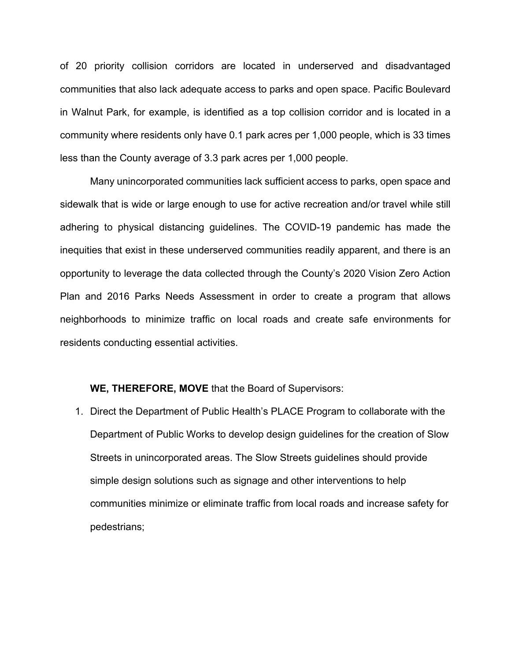of 20 priority collision corridors are located in underserved and disadvantaged communities that also lack adequate access to parks and open space. Pacific Boulevard in Walnut Park, for example, is identified as a top collision corridor and is located in a community where residents only have 0.1 park acres per 1,000 people, which is 33 times less than the County average of 3.3 park acres per 1,000 people.

Many unincorporated communities lack sufficient access to parks, open space and sidewalk that is wide or large enough to use for active recreation and/or travel while still adhering to physical distancing guidelines. The COVID-19 pandemic has made the inequities that exist in these underserved communities readily apparent, and there is an opportunity to leverage the data collected through the County's 2020 Vision Zero Action Plan and 2016 Parks Needs Assessment in order to create a program that allows neighborhoods to minimize traffic on local roads and create safe environments for residents conducting essential activities.

## **WE, THEREFORE, MOVE** that the Board of Supervisors:

1. Direct the Department of Public Health's PLACE Program to collaborate with the Department of Public Works to develop design guidelines for the creation of Slow Streets in unincorporated areas. The Slow Streets guidelines should provide simple design solutions such as signage and other interventions to help communities minimize or eliminate traffic from local roads and increase safety for pedestrians;